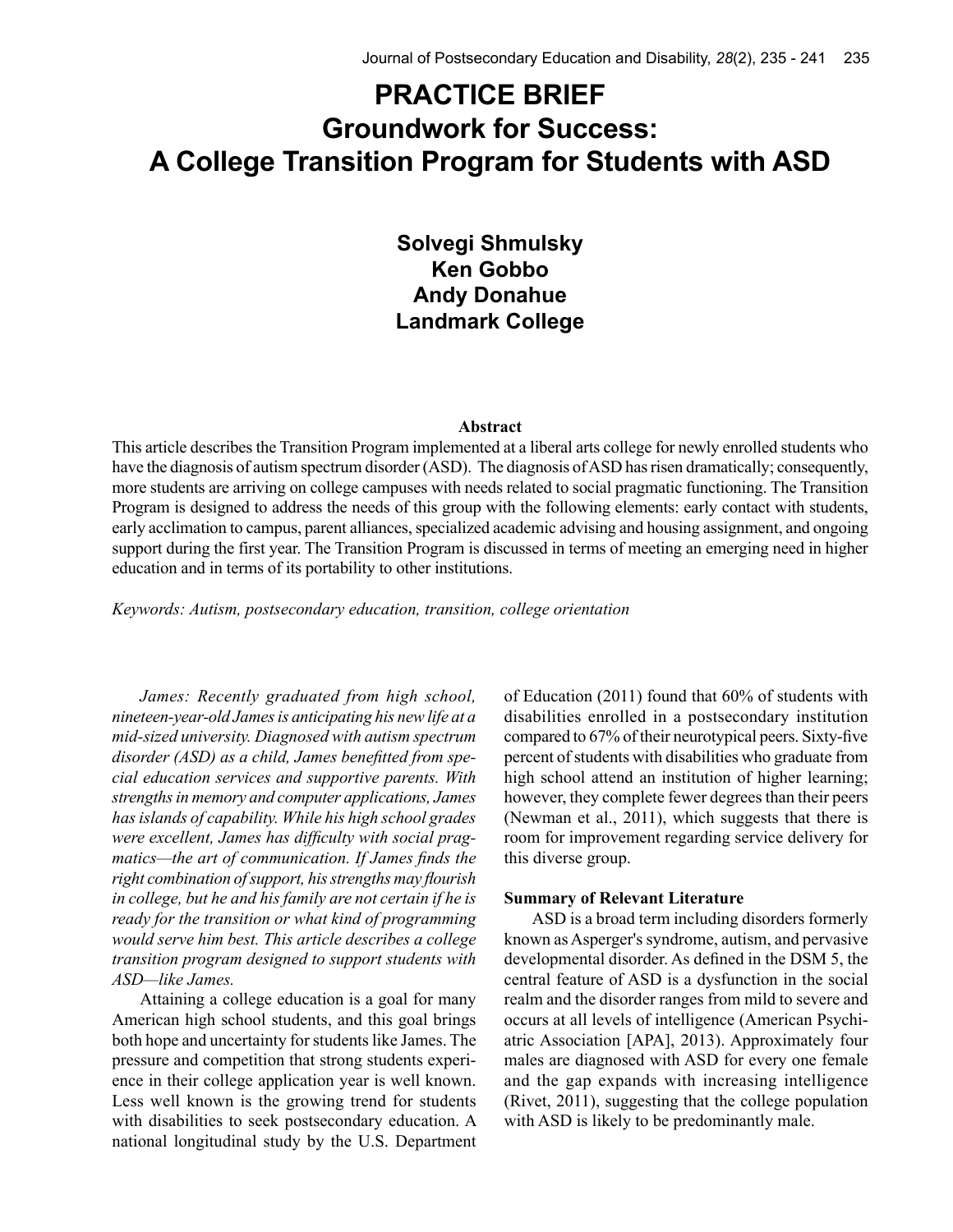# **PRACTICE BRIEF Groundwork for Success: A College Transition Program for Students with ASD**

**Solvegi Shmulsky Ken Gobbo Andy Donahue Landmark College**

#### **Abstract**

This article describes the Transition Program implemented at a liberal arts college for newly enrolled students who have the diagnosis of autism spectrum disorder (ASD). The diagnosis of ASD has risen dramatically; consequently, more students are arriving on college campuses with needs related to social pragmatic functioning. The Transition Program is designed to address the needs of this group with the following elements: early contact with students, early acclimation to campus, parent alliances, specialized academic advising and housing assignment, and ongoing support during the first year. The Transition Program is discussed in terms of meeting an emerging need in higher education and in terms of its portability to other institutions.

*Keywords: Autism, postsecondary education, transition, college orientation*

*James: Recently graduated from high school, nineteen-year-old James is anticipating his new life at a mid-sized university. Diagnosed with autism spectrum disorder (ASD) as a child, James benefitted from special education services and supportive parents. With strengths in memory and computer applications, James has islands of capability. While his high school grades were excellent, James has difficulty with social pragmatics—the art of communication. If James finds the right combination of support, his strengths may flourish in college, but he and his family are not certain if he is ready for the transition or what kind of programming would serve him best. This article describes a college transition program designed to support students with ASD—like James.* 

Attaining a college education is a goal for many American high school students, and this goal brings both hope and uncertainty for students like James. The pressure and competition that strong students experience in their college application year is well known. Less well known is the growing trend for students with disabilities to seek postsecondary education. A national longitudinal study by the U.S. Department of Education (2011) found that 60% of students with disabilities enrolled in a postsecondary institution compared to 67% of their neurotypical peers. Sixty-five percent of students with disabilities who graduate from high school attend an institution of higher learning; however, they complete fewer degrees than their peers (Newman et al., 2011), which suggests that there is room for improvement regarding service delivery for this diverse group.

#### **Summary of Relevant Literature**

ASD is a broad term including disorders formerly known as Asperger's syndrome, autism, and pervasive developmental disorder. As defined in the DSM 5, the central feature of ASD is a dysfunction in the social realm and the disorder ranges from mild to severe and occurs at all levels of intelligence (American Psychiatric Association [APA], 2013). Approximately four males are diagnosed with ASD for every one female and the gap expands with increasing intelligence (Rivet, 2011), suggesting that the college population with ASD is likely to be predominantly male.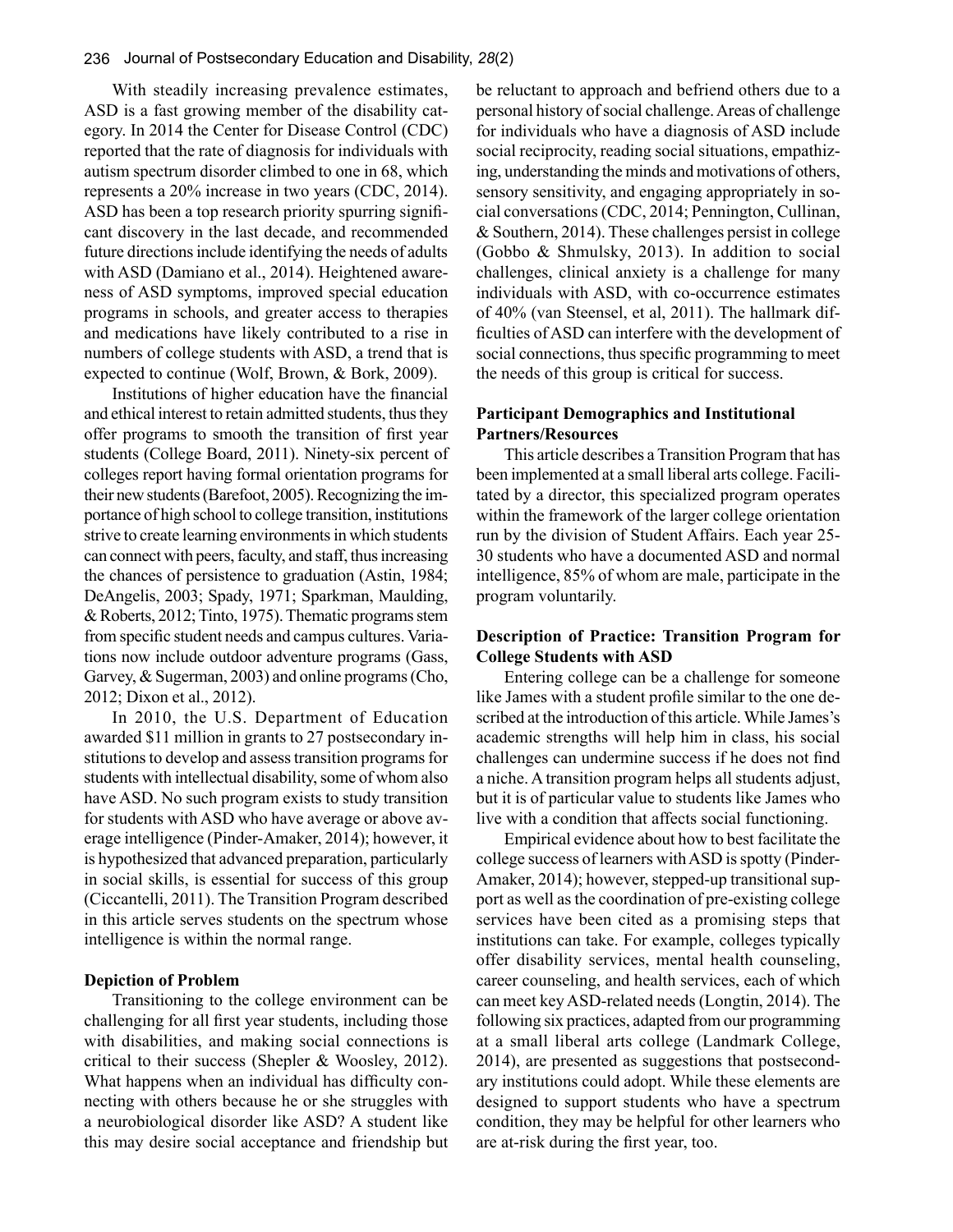With steadily increasing prevalence estimates, ASD is a fast growing member of the disability category. In 2014 the Center for Disease Control (CDC) reported that the rate of diagnosis for individuals with autism spectrum disorder climbed to one in 68, which represents a 20% increase in two years (CDC, 2014). ASD has been a top research priority spurring significant discovery in the last decade, and recommended future directions include identifying the needs of adults with ASD (Damiano et al., 2014). Heightened awareness of ASD symptoms, improved special education programs in schools, and greater access to therapies and medications have likely contributed to a rise in numbers of college students with ASD, a trend that is expected to continue (Wolf, Brown, & Bork, 2009).

Institutions of higher education have the financial and ethical interest to retain admitted students, thus they offer programs to smooth the transition of first year students (College Board, 2011). Ninety-six percent of colleges report having formal orientation programs for their new students (Barefoot, 2005). Recognizing the importance of high school to college transition, institutions strive to create learning environments in which students can connect with peers, faculty, and staff, thus increasing the chances of persistence to graduation (Astin, 1984; DeAngelis, 2003; Spady, 1971; Sparkman, Maulding, & Roberts, 2012; Tinto, 1975). Thematic programs stem from specific student needs and campus cultures. Variations now include outdoor adventure programs (Gass, Garvey, & Sugerman, 2003) and online programs (Cho, 2012; Dixon et al., 2012).

In 2010, the U.S. Department of Education awarded \$11 million in grants to 27 postsecondary institutions to develop and assess transition programs for students with intellectual disability, some of whom also have ASD. No such program exists to study transition for students with ASD who have average or above average intelligence (Pinder-Amaker, 2014); however, it is hypothesized that advanced preparation, particularly in social skills, is essential for success of this group (Ciccantelli, 2011). The Transition Program described in this article serves students on the spectrum whose intelligence is within the normal range.

#### **Depiction of Problem**

Transitioning to the college environment can be challenging for all first year students, including those with disabilities, and making social connections is critical to their success (Shepler & Woosley, 2012). What happens when an individual has difficulty connecting with others because he or she struggles with a neurobiological disorder like ASD? A student like this may desire social acceptance and friendship but

be reluctant to approach and befriend others due to a personal history of social challenge. Areas of challenge for individuals who have a diagnosis of ASD include social reciprocity, reading social situations, empathizing, understanding the minds and motivations of others, sensory sensitivity, and engaging appropriately in social conversations (CDC, 2014; Pennington, Cullinan, & Southern, 2014). These challenges persist in college (Gobbo & Shmulsky, 2013). In addition to social challenges, clinical anxiety is a challenge for many individuals with ASD, with co-occurrence estimates of 40% (van Steensel, et al, 2011). The hallmark difficulties of ASD can interfere with the development of social connections, thus specific programming to meet the needs of this group is critical for success.

### **Participant Demographics and Institutional Partners/Resources**

This article describes a Transition Program that has been implemented at a small liberal arts college. Facilitated by a director, this specialized program operates within the framework of the larger college orientation run by the division of Student Affairs. Each year 25- 30 students who have a documented ASD and normal intelligence, 85% of whom are male, participate in the program voluntarily.

## **Description of Practice: Transition Program for College Students with ASD**

Entering college can be a challenge for someone like James with a student profile similar to the one described at the introduction of this article. While James's academic strengths will help him in class, his social challenges can undermine success if he does not find a niche. A transition program helps all students adjust, but it is of particular value to students like James who live with a condition that affects social functioning.

Empirical evidence about how to best facilitate the college success of learners with ASD is spotty (Pinder-Amaker, 2014); however, stepped-up transitional support as well as the coordination of pre-existing college services have been cited as a promising steps that institutions can take. For example, colleges typically offer disability services, mental health counseling, career counseling, and health services, each of which can meet key ASD-related needs (Longtin, 2014). The following six practices, adapted from our programming at a small liberal arts college (Landmark College, 2014), are presented as suggestions that postsecondary institutions could adopt. While these elements are designed to support students who have a spectrum condition, they may be helpful for other learners who are at-risk during the first year, too.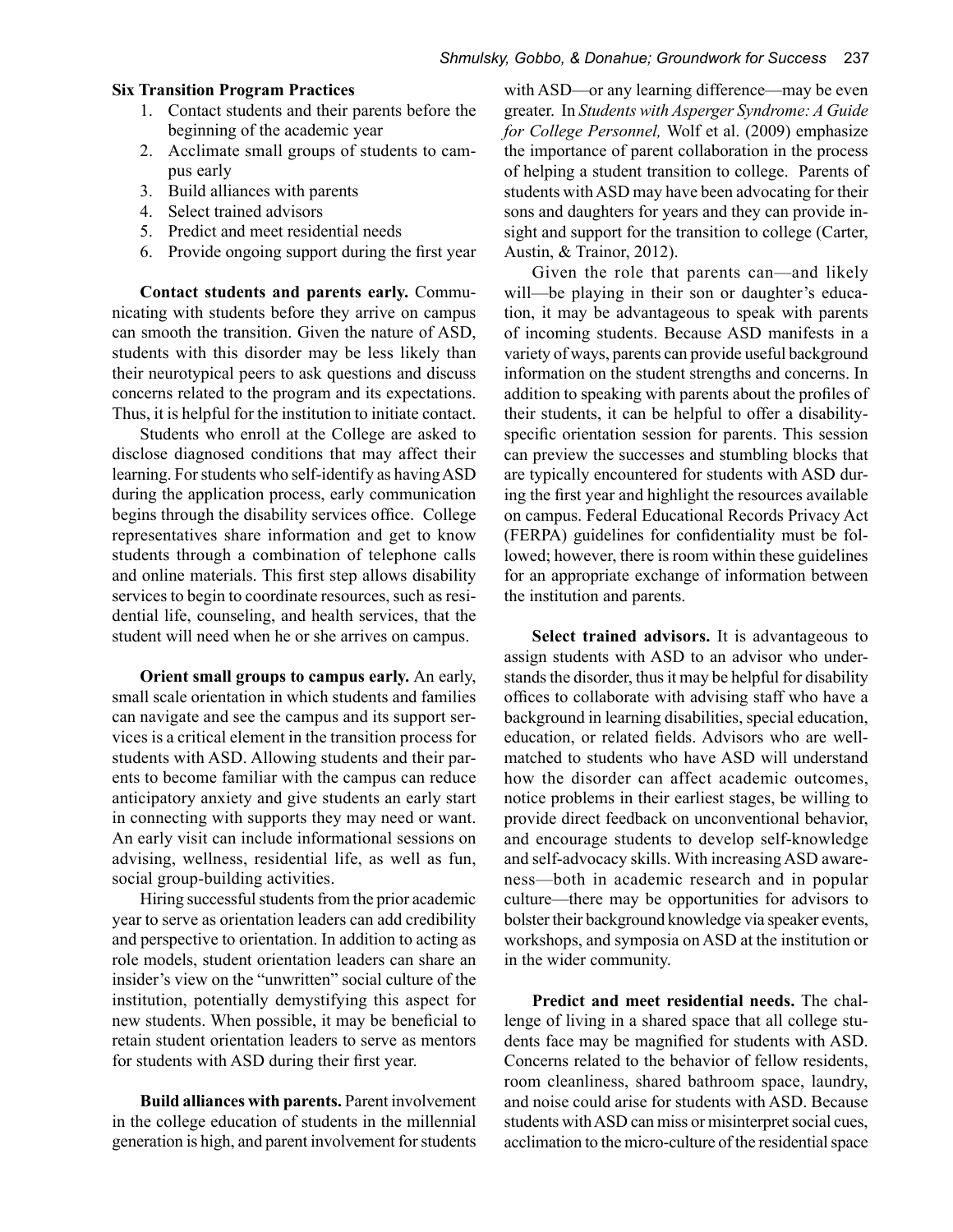#### **Six Transition Program Practices**

- 1. Contact students and their parents before the beginning of the academic year
- 2. Acclimate small groups of students to campus early
- 3. Build alliances with parents
- 4. Select trained advisors
- 5. Predict and meet residential needs
- 6. Provide ongoing support during the first year

**Contact students and parents early.** Communicating with students before they arrive on campus can smooth the transition. Given the nature of ASD, students with this disorder may be less likely than their neurotypical peers to ask questions and discuss concerns related to the program and its expectations. Thus, it is helpful for the institution to initiate contact.

Students who enroll at the College are asked to disclose diagnosed conditions that may affect their learning. For students who self-identify as having ASD during the application process, early communication begins through the disability services office. College representatives share information and get to know students through a combination of telephone calls and online materials. This first step allows disability services to begin to coordinate resources, such as residential life, counseling, and health services, that the student will need when he or she arrives on campus.

**Orient small groups to campus early.** An early, small scale orientation in which students and families can navigate and see the campus and its support services is a critical element in the transition process for students with ASD. Allowing students and their parents to become familiar with the campus can reduce anticipatory anxiety and give students an early start in connecting with supports they may need or want. An early visit can include informational sessions on advising, wellness, residential life, as well as fun, social group-building activities.

Hiring successful students from the prior academic year to serve as orientation leaders can add credibility and perspective to orientation. In addition to acting as role models, student orientation leaders can share an insider's view on the "unwritten" social culture of the institution, potentially demystifying this aspect for new students. When possible, it may be beneficial to retain student orientation leaders to serve as mentors for students with ASD during their first year.

**Build alliances with parents.** Parent involvement in the college education of students in the millennial generation is high, and parent involvement for students

with ASD—or any learning difference—may be even greater. In *Students with Asperger Syndrome: A Guide for College Personnel,* Wolf et al. (2009) emphasize the importance of parent collaboration in the process of helping a student transition to college. Parents of students with ASD may have been advocating for their sons and daughters for years and they can provide insight and support for the transition to college (Carter, Austin, & Trainor, 2012).

Given the role that parents can—and likely will—be playing in their son or daughter's education, it may be advantageous to speak with parents of incoming students. Because ASD manifests in a variety of ways, parents can provide useful background information on the student strengths and concerns. In addition to speaking with parents about the profiles of their students, it can be helpful to offer a disabilityspecific orientation session for parents. This session can preview the successes and stumbling blocks that are typically encountered for students with ASD during the first year and highlight the resources available on campus. Federal Educational Records Privacy Act (FERPA) guidelines for confidentiality must be followed; however, there is room within these guidelines for an appropriate exchange of information between the institution and parents.

**Select trained advisors.** It is advantageous to assign students with ASD to an advisor who understands the disorder, thus it may be helpful for disability offices to collaborate with advising staff who have a background in learning disabilities, special education, education, or related fields. Advisors who are wellmatched to students who have ASD will understand how the disorder can affect academic outcomes, notice problems in their earliest stages, be willing to provide direct feedback on unconventional behavior, and encourage students to develop self-knowledge and self-advocacy skills. With increasing ASD awareness—both in academic research and in popular culture—there may be opportunities for advisors to bolster their background knowledge via speaker events, workshops, and symposia on ASD at the institution or in the wider community.

**Predict and meet residential needs.** The challenge of living in a shared space that all college students face may be magnified for students with ASD. Concerns related to the behavior of fellow residents, room cleanliness, shared bathroom space, laundry, and noise could arise for students with ASD. Because students with ASD can miss or misinterpret social cues, acclimation to the micro-culture of the residential space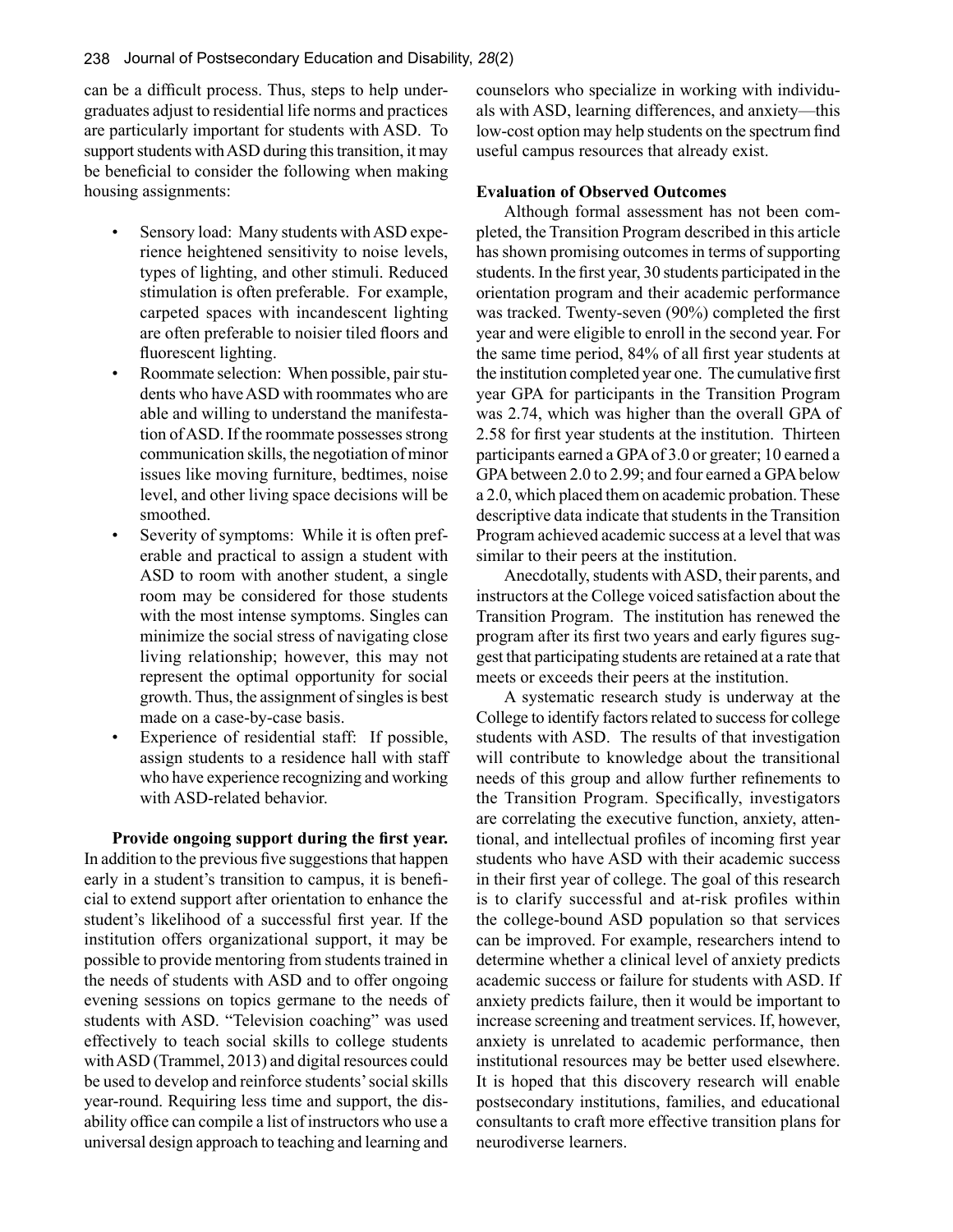can be a difficult process. Thus, steps to help undergraduates adjust to residential life norms and practices are particularly important for students with ASD. To support students with ASD during this transition, it may be beneficial to consider the following when making housing assignments:

- Sensory load: Many students with ASD experience heightened sensitivity to noise levels, types of lighting, and other stimuli. Reduced stimulation is often preferable. For example, carpeted spaces with incandescent lighting are often preferable to noisier tiled floors and fluorescent lighting.
- Roommate selection: When possible, pair students who have ASD with roommates who are able and willing to understand the manifestation of ASD. If the roommate possesses strong communication skills, the negotiation of minor issues like moving furniture, bedtimes, noise level, and other living space decisions will be smoothed.
- Severity of symptoms: While it is often preferable and practical to assign a student with ASD to room with another student, a single room may be considered for those students with the most intense symptoms. Singles can minimize the social stress of navigating close living relationship; however, this may not represent the optimal opportunity for social growth. Thus, the assignment of singles is best made on a case-by-case basis.
- Experience of residential staff: If possible, assign students to a residence hall with staff who have experience recognizing and working with ASD-related behavior.

**Provide ongoing support during the first year.** In addition to the previous five suggestions that happen early in a student's transition to campus, it is beneficial to extend support after orientation to enhance the student's likelihood of a successful first year. If the institution offers organizational support, it may be possible to provide mentoring from students trained in the needs of students with ASD and to offer ongoing evening sessions on topics germane to the needs of students with ASD. "Television coaching" was used effectively to teach social skills to college students with ASD (Trammel, 2013) and digital resources could be used to develop and reinforce students' social skills year-round. Requiring less time and support, the disability office can compile a list of instructors who use a universal design approach to teaching and learning and counselors who specialize in working with individuals with ASD, learning differences, and anxiety—this low-cost option may help students on the spectrum find useful campus resources that already exist.

### **Evaluation of Observed Outcomes**

Although formal assessment has not been completed, the Transition Program described in this article has shown promising outcomes in terms of supporting students. In the first year, 30 students participated in the orientation program and their academic performance was tracked. Twenty-seven (90%) completed the first year and were eligible to enroll in the second year. For the same time period, 84% of all first year students at the institution completed year one. The cumulative first year GPA for participants in the Transition Program was 2.74, which was higher than the overall GPA of 2.58 for first year students at the institution. Thirteen participants earned a GPA of 3.0 or greater; 10 earned a GPA between 2.0 to 2.99; and four earned a GPA below a 2.0, which placed them on academic probation. These descriptive data indicate that students in the Transition Program achieved academic success at a level that was similar to their peers at the institution.

Anecdotally, students with ASD, their parents, and instructors at the College voiced satisfaction about the Transition Program. The institution has renewed the program after its first two years and early figures suggest that participating students are retained at a rate that meets or exceeds their peers at the institution.

A systematic research study is underway at the College to identify factors related to success for college students with ASD. The results of that investigation will contribute to knowledge about the transitional needs of this group and allow further refinements to the Transition Program. Specifically, investigators are correlating the executive function, anxiety, attentional, and intellectual profiles of incoming first year students who have ASD with their academic success in their first year of college. The goal of this research is to clarify successful and at-risk profiles within the college-bound ASD population so that services can be improved. For example, researchers intend to determine whether a clinical level of anxiety predicts academic success or failure for students with ASD. If anxiety predicts failure, then it would be important to increase screening and treatment services. If, however, anxiety is unrelated to academic performance, then institutional resources may be better used elsewhere. It is hoped that this discovery research will enable postsecondary institutions, families, and educational consultants to craft more effective transition plans for neurodiverse learners.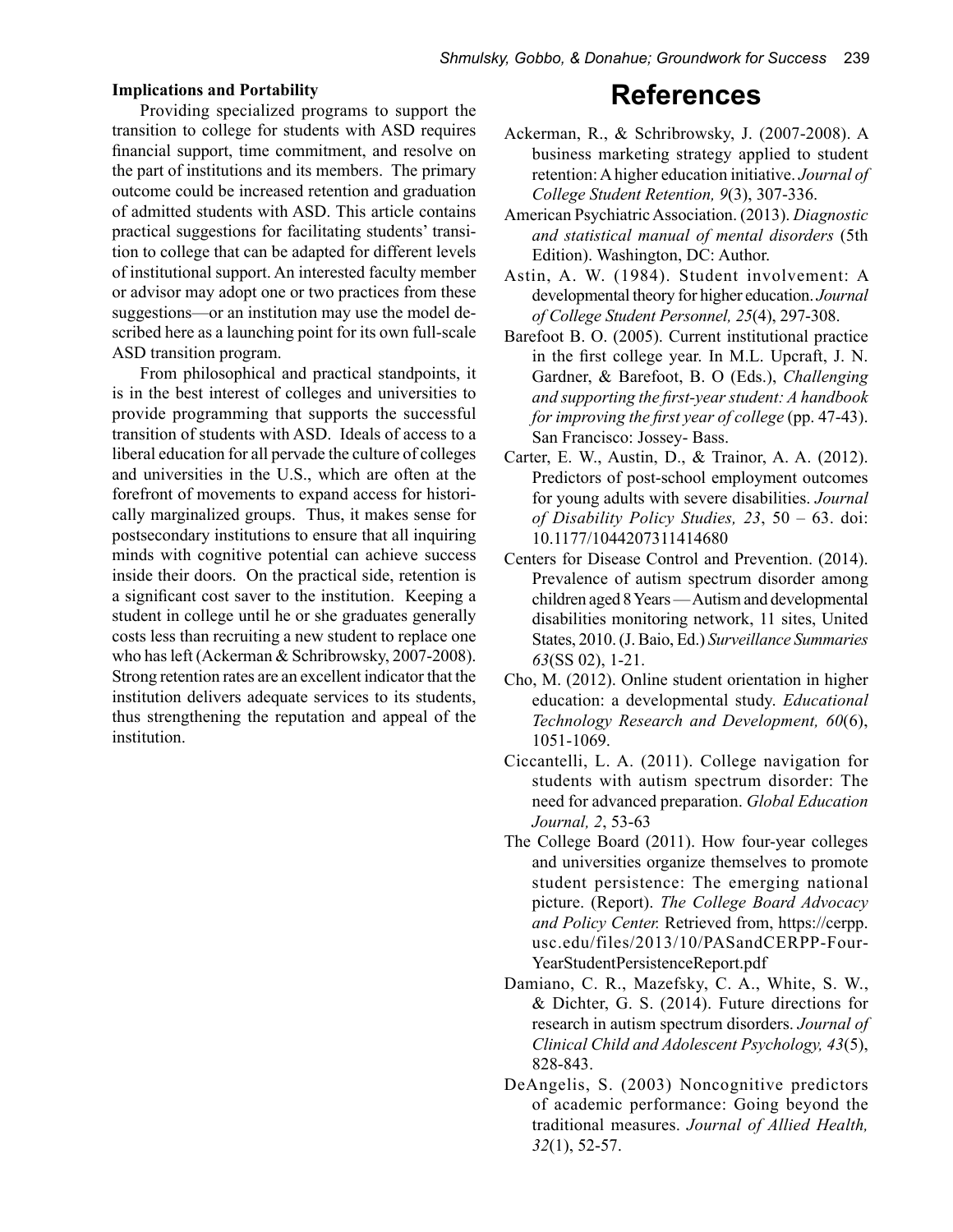#### **Implications and Portability**

Providing specialized programs to support the transition to college for students with ASD requires financial support, time commitment, and resolve on the part of institutions and its members. The primary outcome could be increased retention and graduation of admitted students with ASD. This article contains practical suggestions for facilitating students' transition to college that can be adapted for different levels of institutional support. An interested faculty member or advisor may adopt one or two practices from these suggestions—or an institution may use the model described here as a launching point for its own full-scale ASD transition program.

From philosophical and practical standpoints, it is in the best interest of colleges and universities to provide programming that supports the successful transition of students with ASD. Ideals of access to a liberal education for all pervade the culture of colleges and universities in the U.S., which are often at the forefront of movements to expand access for historically marginalized groups. Thus, it makes sense for postsecondary institutions to ensure that all inquiring minds with cognitive potential can achieve success inside their doors. On the practical side, retention is a significant cost saver to the institution. Keeping a student in college until he or she graduates generally costs less than recruiting a new student to replace one who has left (Ackerman & Schribrowsky, 2007-2008). Strong retention rates are an excellent indicator that the institution delivers adequate services to its students, thus strengthening the reputation and appeal of the institution.

# **References**

- Ackerman, R., & Schribrowsky, J. (2007-2008). A business marketing strategy applied to student retention: A higher education initiative. *Journal of College Student Retention, 9*(3), 307-336.
- American Psychiatric Association. (2013). *Diagnostic and statistical manual of mental disorders* (5th Edition). Washington, DC: Author.
- Astin, A. W. (1984). Student involvement: A developmental theory for higher education. *Journal of College Student Personnel, 25*(4), 297-308.
- Barefoot B. O. (2005). Current institutional practice in the first college year. In M.L. Upcraft, J. N. Gardner, & Barefoot, B. O (Eds.), *Challenging and supporting the first-year student: A handbook for improving the first year of college* (pp. 47-43). San Francisco: Jossey- Bass.
- Carter, E. W., Austin, D., & Trainor, A. A. (2012). Predictors of post-school employment outcomes for young adults with severe disabilities. *Journal of Disability Policy Studies, 23*, 50 – 63. doi: 10.1177/1044207311414680
- Centers for Disease Control and Prevention. (2014). Prevalence of autism spectrum disorder among children aged 8 Years — Autism and developmental disabilities monitoring network, 11 sites, United States, 2010. (J. Baio, Ed.) *Surveillance Summaries 63*(SS 02), 1-21.
- Cho, M. (2012). Online student orientation in higher education: a developmental study. *Educational Technology Research and Development, 60*(6), 1051-1069.
- Ciccantelli, L. A. (2011). College navigation for students with autism spectrum disorder: The need for advanced preparation. *Global Education Journal, 2*, 53-63
- The College Board (2011). How four-year colleges and universities organize themselves to promote student persistence: The emerging national picture. (Report). *The College Board Advocacy and Policy Center.* Retrieved from, https://cerpp. usc.edu/files/2013/10/PASandCERPP-Four-YearStudentPersistenceReport.pdf
- Damiano, C. R., Mazefsky, C. A., White, S. W., & Dichter, G. S. (2014). Future directions for research in autism spectrum disorders. *Journal of Clinical Child and Adolescent Psychology, 43*(5), 828-843.
- DeAngelis, S. (2003) Noncognitive predictors of academic performance: Going beyond the traditional measures. *Journal of Allied Health, 32*(1), 52-57.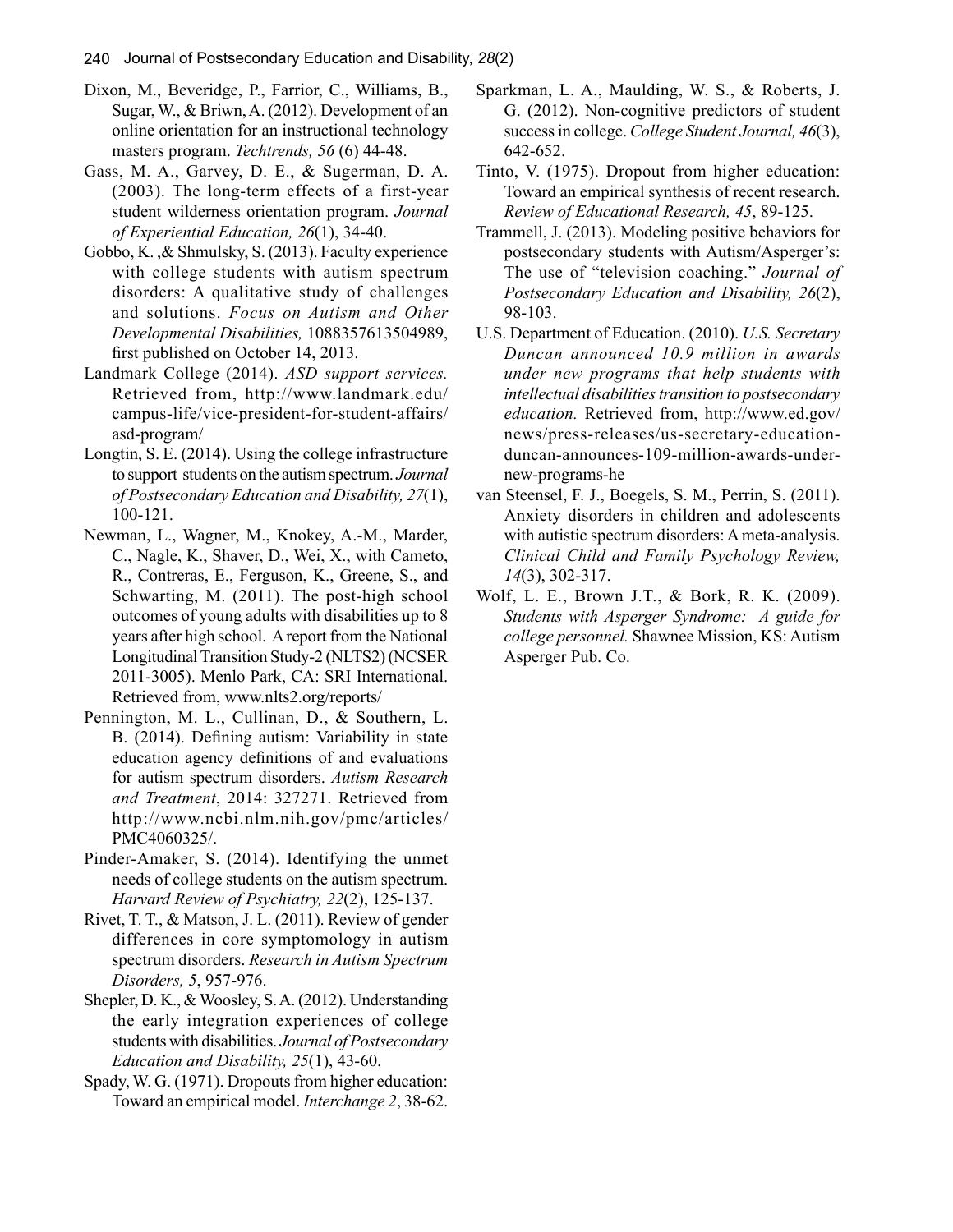- Dixon, M., Beveridge, P., Farrior, C., Williams, B., Sugar, W., & Briwn, A. (2012). Development of an online orientation for an instructional technology masters program. *Techtrends, 56* (6) 44-48.
- Gass, M. A., Garvey, D. E., & Sugerman, D. A. (2003). The long-term effects of a first-year student wilderness orientation program. *Journal of Experiential Education, 26*(1), 34-40.
- Gobbo, K. ,& Shmulsky, S. (2013). Faculty experience with college students with autism spectrum disorders: A qualitative study of challenges and solutions. *Focus on Autism and Other Developmental Disabilities,* 1088357613504989, first published on October 14, 2013.
- Landmark College (2014). *ASD support services.*  Retrieved from, http://www.landmark.edu/ campus-life/vice-president-for-student-affairs/ asd-program/
- Longtin, S. E. (2014). Using the college infrastructure to support students on the autism spectrum. *Journal of Postsecondary Education and Disability, 27*(1), 100-121.
- Newman, L., Wagner, M., Knokey, A.-M., Marder, C., Nagle, K., Shaver, D., Wei, X., with Cameto, R., Contreras, E., Ferguson, K., Greene, S., and Schwarting, M. (2011). The post-high school outcomes of young adults with disabilities up to 8 years after high school. A report from the National Longitudinal Transition Study-2 (NLTS2) (NCSER 2011-3005). Menlo Park, CA: SRI International. Retrieved from, www.nlts2.org/reports/
- Pennington, M. L., Cullinan, D., & Southern, L. B. (2014). Defining autism: Variability in state education agency definitions of and evaluations for autism spectrum disorders. *Autism Research and Treatment*, 2014: 327271. Retrieved from http://www.ncbi.nlm.nih.gov/pmc/articles/ PMC4060325/.
- Pinder-Amaker, S. (2014). Identifying the unmet needs of college students on the autism spectrum. *Harvard Review of Psychiatry, 22*(2), 125-137.
- Rivet, T. T., & Matson, J. L. (2011). Review of gender differences in core symptomology in autism spectrum disorders. *Research in Autism Spectrum Disorders, 5*, 957-976.
- Shepler, D. K., & Woosley, S. A. (2012). Understanding the early integration experiences of college students with disabilities. *Journal of Postsecondary Education and Disability, 25*(1), 43-60.
- Spady, W. G. (1971). Dropouts from higher education: Toward an empirical model. *Interchange 2*, 38-62.
- Sparkman, L. A., Maulding, W. S., & Roberts, J. G. (2012). Non-cognitive predictors of student success in college. *College Student Journal, 46*(3), 642-652.
- Tinto, V. (1975). Dropout from higher education: Toward an empirical synthesis of recent research. *Review of Educational Research, 45*, 89-125.
- Trammell, J. (2013). Modeling positive behaviors for postsecondary students with Autism/Asperger's: The use of "television coaching." *Journal of Postsecondary Education and Disability, 26*(2), 98-103.
- U.S. Department of Education. (2010). *U.S. Secretary Duncan announced 10.9 million in awards under new programs that help students with intellectual disabilities transition to postsecondary education.* Retrieved from, http://www.ed.gov/ news/press-releases/us-secretary-educationduncan-announces-109-million-awards-undernew-programs-he
- van Steensel, F. J., Boegels, S. M., Perrin, S. (2011). Anxiety disorders in children and adolescents with autistic spectrum disorders: A meta-analysis. *Clinical Child and Family Psychology Review, 14*(3), 302-317.
- Wolf, L. E., Brown J.T., & Bork, R. K. (2009). *Students with Asperger Syndrome: A guide for college personnel.* Shawnee Mission, KS: Autism Asperger Pub. Co.